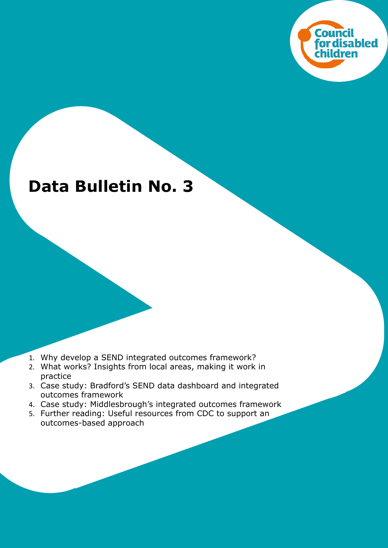

# **Data Bulletin No. 3**

- 1. Why develop a SEND integrated outcomes framework?
- 2. What works? Insights from local areas, making it work in practice
- 3. Case study: Bradford's SEND data dashboard and integrated outcomes framework
- 4. Case study: Middlesbrough's integrated outcomes framework
- 5. Further reading: Useful resources from CDC to support an outcomes-based approach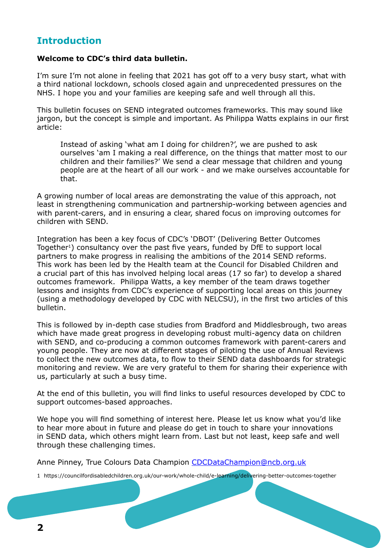# **Introduction**

#### **Welcome to CDC's third data bulletin.**

I'm sure I'm not alone in feeling that 2021 has got off to a very busy start, what with a third national lockdown, schools closed again and unprecedented pressures on the NHS. I hope you and your families are keeping safe and well through all this.

This bulletin focuses on SEND integrated outcomes frameworks. This may sound like jargon, but the concept is simple and important. As Philippa Watts explains in our first article:

Instead of asking 'what am I doing for children?', we are pushed to ask ourselves 'am I making a real difference, on the things that matter most to our children and their families?' We send a clear message that children and young people are at the heart of all our work - and we make ourselves accountable for that.

A growing number of local areas are demonstrating the value of this approach, not least in strengthening communication and partnership-working between agencies and with parent-carers, and in ensuring a clear, shared focus on improving outcomes for children with SEND.

Integration has been a key focus of CDC's 'DBOT' (Delivering Better Outcomes Together<sup>1</sup>) consultancy over the past five years, funded by DfE to support local partners to make progress in realising the ambitions of the 2014 SEND reforms. This work has been led by the Health team at the Council for Disabled Children and a crucial part of this has involved helping local areas (17 so far) to develop a shared outcomes framework. Philippa Watts, a key member of the team draws together lessons and insights from CDC's experience of supporting local areas on this journey (using a methodology developed by CDC with NELCSU), in the first two articles of this bulletin.

This is followed by in-depth case studies from Bradford and Middlesbrough, two areas which have made great progress in developing robust multi-agency data on children with SEND, and co-producing a common outcomes framework with parent-carers and young people. They are now at different stages of piloting the use of Annual Reviews to collect the new outcomes data, to flow to their SEND data dashboards for strategic monitoring and review. We are very grateful to them for sharing their experience with us, particularly at such a busy time.

At the end of this bulletin, you will find links to useful resources developed by CDC to support outcomes-based approaches.

We hope you will find something of interest here. Please let us know what you'd like to hear more about in future and please do get in touch to share your innovations in SEND data, which others might learn from. Last but not least, keep safe and well through these challenging times.

Anne Pinney, True Colours Data Champion [CDCDataChampion@ncb.org.uk](mailto:CDCDataChampion@ncb.org.uk)

1 https://councilfordisabledchildren.org.uk/our-work/whole-child/e-learning/delivering-better-outcomes-together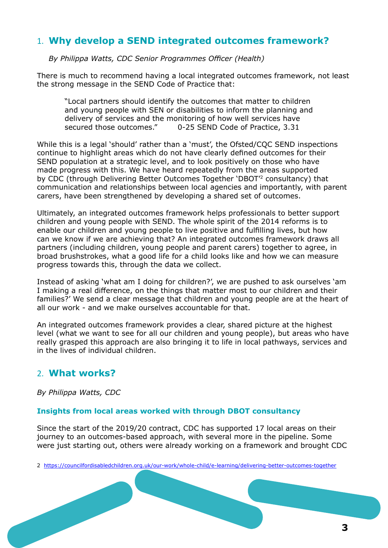# 1. **Why develop a SEND integrated outcomes framework?**

*By Philippa Watts, CDC Senior Programmes Officer (Health)*

There is much to recommend having a local integrated outcomes framework, not least the strong message in the SEND Code of Practice that:

"Local partners should identify the outcomes that matter to children and young people with SEN or disabilities to inform the planning and delivery of services and the monitoring of how well services have secured those outcomes." 0-25 SEND Code of Practice, 3.31

While this is a legal 'should' rather than a 'must', the Ofsted/CQC SEND inspections continue to highlight areas which do not have clearly defined outcomes for their SEND population at a strategic level, and to look positively on those who have made progress with this. We have heard repeatedly from the areas supported by CDC (through Delivering Better Outcomes Together 'DBOT'2 consultancy) that communication and relationships between local agencies and importantly, with parent carers, have been strengthened by developing a shared set of outcomes.

Ultimately, an integrated outcomes framework helps professionals to better support children and young people with SEND. The whole spirit of the 2014 reforms is to enable our children and young people to live positive and fulfilling lives, but how can we know if we are achieving that? An integrated outcomes framework draws all partners (including children, young people and parent carers) together to agree, in broad brushstrokes, what a good life for a child looks like and how we can measure progress towards this, through the data we collect.

Instead of asking 'what am I doing for children?', we are pushed to ask ourselves 'am I making a real difference, on the things that matter most to our children and their families?' We send a clear message that children and young people are at the heart of all our work - and we make ourselves accountable for that.

An integrated outcomes framework provides a clear, shared picture at the highest level (what we want to see for all our children and young people), but areas who have really grasped this approach are also bringing it to life in local pathways, services and in the lives of individual children.

## 2. **What works?**

*By Philippa Watts, CDC* 

## **Insights from local areas worked with through DBOT consultancy**

Since the start of the 2019/20 contract, CDC has supported 17 local areas on their journey to an outcomes-based approach, with several more in the pipeline. Some were just starting out, others were already working on a framework and brought CDC

2 <https://councilfordisabledchildren.org.uk/our-work/whole-child/e-learning/delivering-better-outcomes-together>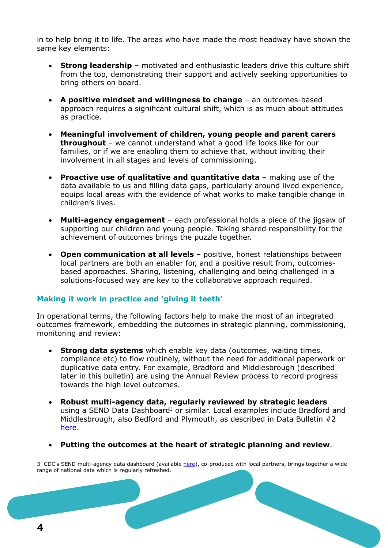in to help bring it to life. The areas who have made the most headway have shown the same key elements:

- **Strong leadership** motivated and enthusiastic leaders drive this culture shift from the top, demonstrating their support and actively seeking opportunities to bring others on board.
- • **A positive mindset and willingness to change** an outcomes-based approach requires a significant cultural shift, which is as much about attitudes as practice.
- • **Meaningful involvement of children, young people and parent carers throughout** – we cannot understand what a good life looks like for our families, or if we are enabling them to achieve that, without inviting their involvement in all stages and levels of commissioning.
- • **Proactive use of qualitative and quantitative data** making use of the data available to us and filling data gaps, particularly around lived experience, equips local areas with the evidence of what works to make tangible change in children's lives.
- **Multi-agency engagement** each professional holds a piece of the jigsaw of supporting our children and young people. Taking shared responsibility for the achievement of outcomes brings the puzzle together.
- **Open communication at all levels** positive, honest relationships between local partners are both an enabler for, and a positive result from, outcomesbased approaches. Sharing, listening, challenging and being challenged in a solutions-focused way are key to the collaborative approach required.

## **Making it work in practice and 'giving it teeth'**

In operational terms, the following factors help to make the most of an integrated outcomes framework, embedding the outcomes in strategic planning, commissioning, monitoring and review:

- **Strong data systems** which enable key data (outcomes, waiting times, compliance etc) to flow routinely, without the need for additional paperwork or duplicative data entry. For example, Bradford and Middlesbrough (described later in this bulletin) are using the Annual Review process to record progress towards the high level outcomes.
- • **Robust multi-agency data, regularly reviewed by strategic leaders** using a SEND Data Dashboard<sup>3</sup> or similar. Local examples include Bradford and Middlesbrough, also Bedford and Plymouth, as described in Data Bulletin #2 [here](https://councilfordisabledchildren.org.uk/help-resources/resources/send-data-bulletins).
- • **Putting the outcomes at the heart of strategic planning and review**.

3 CDC's SEND multi-agency data dashboard (available [here\)](https://councilfordisabledchildren.org.uk/help-resources/resources/0-25-multi-agency-send-data-dashboard), co-produced with local partners, brings together a wide range of national data which is regularly refreshed.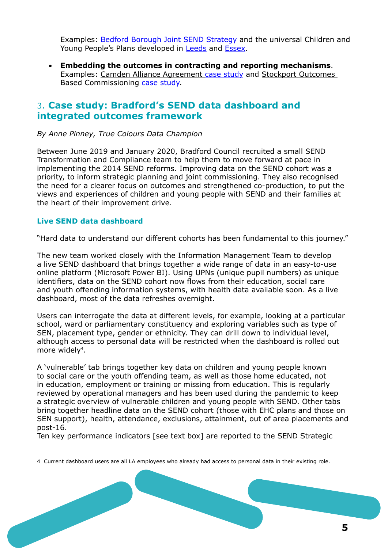Examples: [Bedford Borough Joint SEND Strategy](https://search3.openobjects.com/mediamanager/bedford/directory/files/bedford_borough_joint_send_strategy_2019-2022.pdf) and the universal Children and Young People's Plans developed in [Leeds](https://jesscluster.org/wp-content/uploads/2018/11/Leeds-Children-and-Young-People%E2%80%99s-Plan-2018-2023-leaflet.pdf) and [Essex.](https://datapress-files.ams3.digitaloceanspaces.com/essex/dataset/essex-children-and-young-people-s-strategic-plan/2019-03-11T09%3A35%3A50/YOUNG_PEOPLES_PLAN.pdf?X-Amz-Algorithm=AWS4-HMAC-SHA256&X-Amz-Credential=PGFSIURNB2RGEURH2EBZ%2F20201216%2Fams3%2Fs3%2Faws4_request&X-Amz-Date=20201216T095217Z&X-Amz-Expires=300&X-Amz-Signature=14a3b78fb9cb879f9b2ea5a30f1517b6cc519d2a1b65bba09a9a5c48a1f8b595&X-Amz-SignedHeaders=host)

• **Embedding the outcomes in contracting and reporting mechanisms**. Examples: Camden Alliance Agreement [case study](https://councilfordisabledchildren.org.uk/sites/default/files/field/attachemnt/Case%20study%20Camden%202018.pdf) and Stockport Outcomes Based Commissioning [case study](https://councilfordisabledchildren.org.uk/sites/default/files/uploads/Case%20study%20Stockport%202020_1.pdf).

## 3. **Case study: Bradford's SEND data dashboard and integrated outcomes framework**

*By Anne Pinney, True Colours Data Champion*

Between June 2019 and January 2020, Bradford Council recruited a small SEND Transformation and Compliance team to help them to move forward at pace in implementing the 2014 SEND reforms. Improving data on the SEND cohort was a priority, to inform strategic planning and joint commissioning. They also recognised the need for a clearer focus on outcomes and strengthened co-production, to put the views and experiences of children and young people with SEND and their families at the heart of their improvement drive.

## **Live SEND data dashboard**

"Hard data to understand our different cohorts has been fundamental to this journey."

The new team worked closely with the Information Management Team to develop a live SEND dashboard that brings together a wide range of data in an easy-to-use online platform (Microsoft Power BI). Using UPNs (unique pupil numbers) as unique identifiers, data on the SEND cohort now flows from their education, social care and youth offending information systems, with health data available soon. As a live dashboard, most of the data refreshes overnight.

Users can interrogate the data at different levels, for example, looking at a particular school, ward or parliamentary constituency and exploring variables such as type of SEN, placement type, gender or ethnicity. They can drill down to individual level, although access to personal data will be restricted when the dashboard is rolled out more widely<sup>4</sup>.

A 'vulnerable' tab brings together key data on children and young people known to social care or the youth offending team, as well as those home educated, not in education, employment or training or missing from education. This is regularly reviewed by operational managers and has been used during the pandemic to keep a strategic overview of vulnerable children and young people with SEND. Other tabs bring together headline data on the SEND cohort (those with EHC plans and those on SEN support), health, attendance, exclusions, attainment, out of area placements and post-16.

Ten key performance indicators [see text box] are reported to the SEND Strategic

4 Current dashboard users are all LA employees who already had access to personal data in their existing role.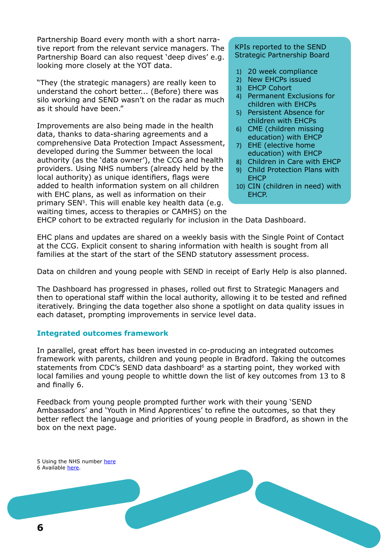Partnership Board every month with a short narrative report from the relevant service managers. The Partnership Board can also request 'deep dives' e.g. looking more closely at the YOT data.

"They (the strategic managers) are really keen to understand the cohort better... (Before) there was silo working and SEND wasn't on the radar as much as it should have been."

Improvements are also being made in the health data, thanks to data-sharing agreements and a comprehensive Data Protection Impact Assessment, developed during the Summer between the local authority (as the 'data owner'), the CCG and health providers. Using NHS numbers (already held by the local authority) as unique identifiers, flags were added to health information system on all children with EHC plans, as well as information on their primary SEN5. This will enable key health data (e.g. waiting times, access to therapies or CAMHS) on the

#### KPIs reported to the SEND Strategic Partnership Board

- 1) 20 week compliance
- 2) New EHCPs issued
- 3) EHCP Cohort
- 4) Permanent Exclusions for children with EHCPs
- 5) Persistent Absence for children with EHCPs
- 6) CME (children missing education) with EHCP
- 7) EHE (elective home education) with EHCP
- 8) Children in Care with EHCP
- 9) Child Protection Plans with **EHCP**
- 10) CIN (children in need) with EHCP.

EHCP cohort to be extracted regularly for inclusion in the Data Dashboard.

EHC plans and updates are shared on a weekly basis with the Single Point of Contact at the CCG. Explicit consent to sharing information with health is sought from all families at the start of the start of the SEND statutory assessment process.

Data on children and young people with SEND in receipt of Early Help is also planned.

The Dashboard has progressed in phases, rolled out first to Strategic Managers and then to operational staff within the local authority, allowing it to be tested and refined iteratively. Bringing the data together also shone a spotlight on data quality issues in each dataset, prompting improvements in service level data.

## **Integrated outcomes framework**

In parallel, great effort has been invested in co-producing an integrated outcomes framework with parents, children and young people in Bradford. Taking the outcomes statements from CDC's SEND data dashboard<sup>6</sup> as a starting point, they worked with local families and young people to whittle down the list of key outcomes from 13 to 8 and finally 6.

Feedback from young people prompted further work with their young 'SEND Ambassadors' and 'Youth in Mind Apprentices' to refine the outcomes, so that they better reflect the language and priorities of young people in Bradford, as shown in the box on the next page.

5 Using the NHS number [here](https://councilfordisabledchildren.org.uk/help-resources/resources/putting-nhs-number-ehc-plan) 6 Available [here](https://councilfordisabledchildren.org.uk/help-resources/resources/0-25-multi-agency-send-data-dashboard).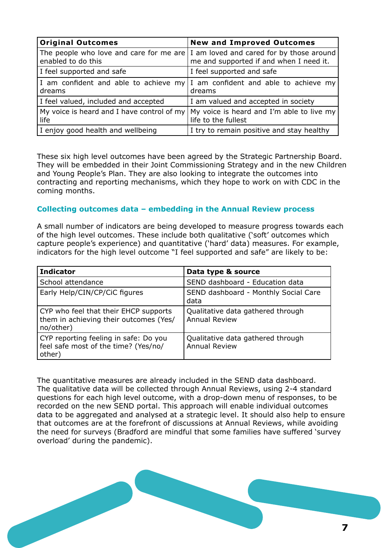| <b>Original Outcomes</b>                        | <b>New and Improved Outcomes</b>                                                                                                |
|-------------------------------------------------|---------------------------------------------------------------------------------------------------------------------------------|
| enabled to do this                              | The people who love and care for me are $ I $ am loved and cared for by those around<br>me and supported if and when I need it. |
| I feel supported and safe                       | I feel supported and safe                                                                                                       |
| I am confident and able to achieve my<br>dreams | I am confident and able to achieve my<br>dreams                                                                                 |
| I feel valued, included and accepted            | I am valued and accepted in society                                                                                             |
| life                                            | My voice is heard and I have control of my $\vert$ My voice is heard and I'm able to live my<br>life to the fullest             |
| I enjoy good health and wellbeing               | I try to remain positive and stay healthy                                                                                       |

These six high level outcomes have been agreed by the Strategic Partnership Board. They will be embedded in their Joint Commissioning Strategy and in the new Children and Young People's Plan. They are also looking to integrate the outcomes into contracting and reporting mechanisms, which they hope to work on with CDC in the coming months.

## **Collecting outcomes data – embedding in the Annual Review process**

A small number of indicators are being developed to measure progress towards each of the high level outcomes. These include both qualitative ('soft' outcomes which capture people's experience) and quantitative ('hard' data) measures. For example, indicators for the high level outcome "I feel supported and safe" are likely to be:

| <b>Indicator</b>                                                                             | Data type & source                                        |
|----------------------------------------------------------------------------------------------|-----------------------------------------------------------|
| School attendance                                                                            | SEND dashboard - Education data                           |
| Early Help/CIN/CP/CiC figures                                                                | SEND dashboard - Monthly Social Care<br>data              |
| CYP who feel that their EHCP supports<br>them in achieving their outcomes (Yes/<br>no/other) | Qualitative data gathered through<br><b>Annual Review</b> |
| CYP reporting feeling in safe: Do you<br>feel safe most of the time? (Yes/no/<br>other)      | Qualitative data gathered through<br><b>Annual Review</b> |

The quantitative measures are already included in the SEND data dashboard. The qualitative data will be collected through Annual Reviews, using 2-4 standard questions for each high level outcome, with a drop-down menu of responses, to be recorded on the new SEND portal. This approach will enable individual outcomes data to be aggregated and analysed at a strategic level. It should also help to ensure that outcomes are at the forefront of discussions at Annual Reviews, while avoiding the need for surveys (Bradford are mindful that some families have suffered 'survey overload' during the pandemic).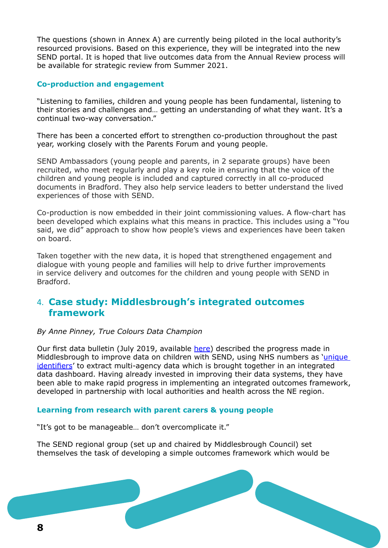The questions (shown in Annex A) are currently being piloted in the local authority's resourced provisions. Based on this experience, they will be integrated into the new SEND portal. It is hoped that live outcomes data from the Annual Review process will be available for strategic review from Summer 2021.

## **Co-production and engagement**

"Listening to families, children and young people has been fundamental, listening to their stories and challenges and… getting an understanding of what they want. It's a continual two-way conversation."

There has been a concerted effort to strengthen co-production throughout the past year, working closely with the Parents Forum and young people.

SEND Ambassadors (young people and parents, in 2 separate groups) have been recruited, who meet regularly and play a key role in ensuring that the voice of the children and young people is included and captured correctly in all co-produced documents in Bradford. They also help service leaders to better understand the lived experiences of those with SEND.

Co-production is now embedded in their joint commissioning values. A flow-chart has been developed which explains what this means in practice. This includes using a "You said, we did" approach to show how people's views and experiences have been taken on board.

Taken together with the new data, it is hoped that strengthened engagement and dialogue with young people and families will help to drive further improvements in service delivery and outcomes for the children and young people with SEND in Bradford.

## 4. **Case study: Middlesbrough's integrated outcomes framework**

#### *By Anne Pinney, True Colours Data Champion*

Our first data bulletin (July 2019, available [here\)](https://councilfordisabledchildren.org.uk/help-resources/resources/send-data-bulletins) described the progress made in Middlesbrough to improve data on children with SEND, using NHS numbers as 'unique [identifiers](https://councilfordisabledchildren.org.uk/help-resources/resources/putting-nhs-number-ehc-plan)' to extract multi-agency data which is brought together in an integrated data dashboard. Having already invested in improving their data systems, they have been able to make rapid progress in implementing an integrated outcomes framework, developed in partnership with local authorities and health across the NE region.

## **Learning from research with parent carers & young people**

"It's got to be manageable… don't overcomplicate it."

The SEND regional group (set up and chaired by Middlesbrough Council) set themselves the task of developing a simple outcomes framework which would be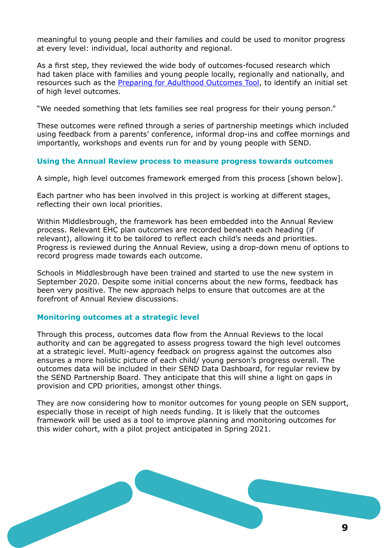meaningful to young people and their families and could be used to monitor progress at every level: individual, local authority and regional.

As a first step, they reviewed the wide body of outcomes-focused research which had taken place with families and young people locally, regionally and nationally, and resources such as the [Preparing for Adulthood Outcomes Tool,](https://councilfordisabledchildren.org.uk/help-resources/resources/preparation-and-transition-adulthood-audit-tool) to identify an initial set of high level outcomes.

"We needed something that lets families see real progress for their young person."

These outcomes were refined through a series of partnership meetings which included using feedback from a parents' conference, informal drop-ins and coffee mornings and importantly, workshops and events run for and by young people with SEND.

## **Using the Annual Review process to measure progress towards outcomes**

A simple, high level outcomes framework emerged from this process [shown below].

Each partner who has been involved in this project is working at different stages, reflecting their own local priorities.

Within Middlesbrough, the framework has been embedded into the Annual Review process. Relevant EHC plan outcomes are recorded beneath each heading (if relevant), allowing it to be tailored to reflect each child's needs and priorities. Progress is reviewed during the Annual Review, using a drop-down menu of options to record progress made towards each outcome.

Schools in Middlesbrough have been trained and started to use the new system in September 2020. Despite some initial concerns about the new forms, feedback has been very positive. The new approach helps to ensure that outcomes are at the forefront of Annual Review discussions.

#### **Monitoring outcomes at a strategic level**

Through this process, outcomes data flow from the Annual Reviews to the local authority and can be aggregated to assess progress toward the high level outcomes at a strategic level. Multi-agency feedback on progress against the outcomes also ensures a more holistic picture of each child/ young person's progress overall. The outcomes data will be included in their SEND Data Dashboard, for regular review by the SEND Partnership Board. They anticipate that this will shine a light on gaps in provision and CPD priorities, amongst other things.

They are now considering how to monitor outcomes for young people on SEN support, especially those in receipt of high needs funding. It is likely that the outcomes framework will be used as a tool to improve planning and monitoring outcomes for this wider cohort, with a pilot project anticipated in Spring 2021.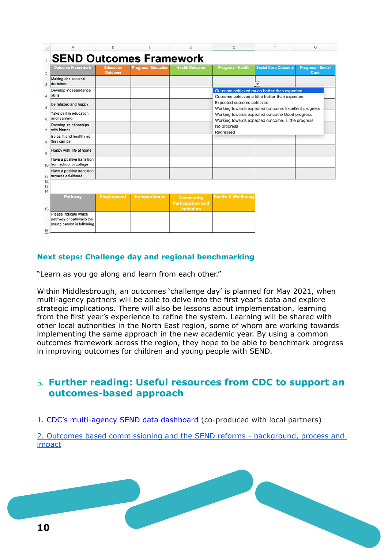| A                                                                             | В                                  | C                          | D                                                                | E                                                                                                                                                                                                                    | F                                                                                            | G                                |  |
|-------------------------------------------------------------------------------|------------------------------------|----------------------------|------------------------------------------------------------------|----------------------------------------------------------------------------------------------------------------------------------------------------------------------------------------------------------------------|----------------------------------------------------------------------------------------------|----------------------------------|--|
| <b>SEND Outcomes Framework</b>                                                |                                    |                            |                                                                  |                                                                                                                                                                                                                      |                                                                                              |                                  |  |
| <b>Outcome Framework</b>                                                      | <b>Education</b><br><b>Outcome</b> | <b>Progress -Education</b> | <b>Health Outcome</b>                                            | <b>Progress - Health</b>                                                                                                                                                                                             | <b>Social Care Outcome</b>                                                                   | <b>Progress - Social</b><br>Care |  |
| Making choices and<br>decisions                                               |                                    |                            |                                                                  |                                                                                                                                                                                                                      |                                                                                              |                                  |  |
| Develop independence<br>skills                                                |                                    |                            |                                                                  |                                                                                                                                                                                                                      | Outcome achieved much better than expected<br>Outcome achieved a little better than expected |                                  |  |
| Be relaxed and happy                                                          |                                    |                            |                                                                  | Expected outcome achieved<br>Working towards expected outcome. Excellent progress<br>Working towards expected outcome Good progress<br>Working towards expected outcome. Little progress<br>No progress<br>Regressed |                                                                                              |                                  |  |
| Take part in education<br>and learning                                        |                                    |                            |                                                                  |                                                                                                                                                                                                                      |                                                                                              |                                  |  |
| Develop relationships<br>with friends                                         |                                    |                            |                                                                  |                                                                                                                                                                                                                      |                                                                                              |                                  |  |
| Be as fit and healthy as<br>they can be                                       |                                    |                            |                                                                  |                                                                                                                                                                                                                      |                                                                                              |                                  |  |
| Happy with life at home                                                       |                                    |                            |                                                                  |                                                                                                                                                                                                                      |                                                                                              |                                  |  |
| Have a positive transition<br>10 from school or college                       |                                    |                            |                                                                  |                                                                                                                                                                                                                      |                                                                                              |                                  |  |
| Have a positive transition<br>towards adulthood                               |                                    |                            |                                                                  |                                                                                                                                                                                                                      |                                                                                              |                                  |  |
| 12<br>13                                                                      |                                    |                            |                                                                  |                                                                                                                                                                                                                      |                                                                                              |                                  |  |
| 14<br><b>Pathway</b><br>15                                                    | <b>Employment</b>                  | Independence               | <b>Community</b><br><b>Participation and</b><br><b>Inclusion</b> | <b>Health &amp; Wellbeing</b>                                                                                                                                                                                        |                                                                                              |                                  |  |
| Please indicate which<br>pathway or pathways the<br>young person is following |                                    |                            |                                                                  |                                                                                                                                                                                                                      |                                                                                              |                                  |  |
| 16                                                                            |                                    |                            |                                                                  |                                                                                                                                                                                                                      |                                                                                              |                                  |  |

## **Next steps: Challenge day and regional benchmarking**

"Learn as you go along and learn from each other."

Within Middlesbrough, an outcomes 'challenge day' is planned for May 2021, when multi-agency partners will be able to delve into the first year's data and explore strategic implications. There will also be lessons about implementation, learning from the first year's experience to refine the system. Learning will be shared with other local authorities in the North East region, some of whom are working towards implementing the same approach in the new academic year. By using a common outcomes framework across the region, they hope to be able to benchmark progress in improving outcomes for children and young people with SEND.

## 5. **Further reading: Useful resources from CDC to support an outcomes-based approach**

1. [CDC's multi-agency SEND data dashboard](https://councilfordisabledchildren.org.uk/help-resources/resources/0-25-multi-agency-send-data-dashboard) (co-produced with local partners)

2. [Outcomes based commissioning and the SEND reforms - background, process and](https://councilfordisabledchildren.org.uk/outcomes-based-commissioning-and-send-reforms-background-process-and-impact)  [impact](https://councilfordisabledchildren.org.uk/outcomes-based-commissioning-and-send-reforms-background-process-and-impact)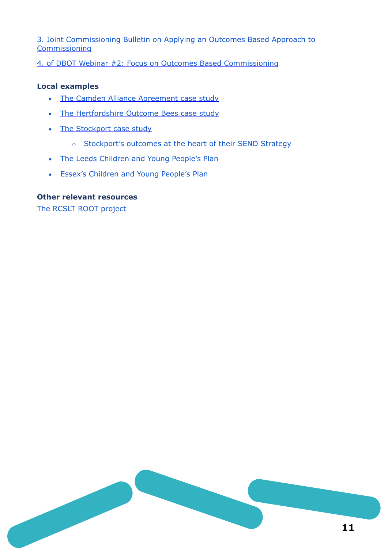3. [Joint Commissioning Bulletin on Applying an Outcomes Based Approach to](https://councilfordisabledchildren.org.uk/sites/default/files/field/attachemnt/Joint%20commissioning%20bulletin%203.pdf)  **[Commissioning](https://councilfordisabledchildren.org.uk/sites/default/files/field/attachemnt/Joint%20commissioning%20bulletin%203.pdf)** 

4. [of DBOT Webinar #2: Focus on Outcomes Based Commissioning](https://www.youtube.com/watch?v=OMuKtPf7-fI&t=2s)

## **Local examples**

- [The Camden Alliance Agreement case study](https://councilfordisabledchildren.org.uk/sites/default/files/field/attachemnt/Case%20study%20Camden%202018.pdf)
- [The Hertfordshire Outcome Bees case study](https://councilfordisabledchildren.org.uk/sites/default/files/field/attachemnt/Case%20study%20Hertfordshire%202018.pdf)
- [The Stockport case study](https://councilfordisabledchildren.org.uk/sites/default/files/uploads/Case%20study%20Stockport%202020_1.pdf)
	- o [Stockport's outcomes at the heart of their SEND Strategy](https://search3.openobjects.com/mediamanager/stockport/fsd/files/send_commissioning_plan_1.pdf)
- [The Leeds Children and Young People's Plan](https://www.leeds.gov.uk/childfriendlyleeds/Documents/CMT18-022%20Childrens%20and%20YP%20Plan%2018-23.pdf)
- [Essex's Children and Young People's Plan](https://datapress-files.s3-eu-west-1.amazonaws.com/essex/dataset/essex-children-and-young-people-s-strategic-plan/2019-03-11T09%3A35%3A50/YOUNG_PEOPLES_PLAN.pdf?X-Amz-Algorithm=AWS4-HMAC-SHA256&X-Amz-Credential=AKIA34OJCNUVXSUMRHGO%2F20200813%2Feu-west-1%2Fs3%2Faws4_request&X-Amz-Date=20200813T161131Z&X-Amz-Expires=300&X-Amz-Signature=bd315d912da592b6594a67b840908301c40cc474d4c470fbfeaf90fbba840aff&X-Amz-SignedHeaders=host)

## **Other relevant resources**

[The RCSLT ROOT project](https://www.rcslt.org/speech-and-language-therapy/guidance-for-delivering-slt-services/outcome-measurement/outcome-tool-overview)

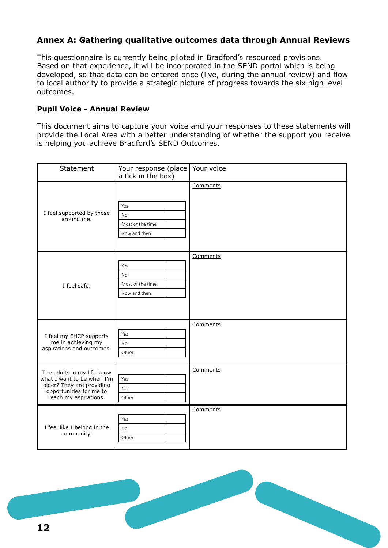## **Annex A: Gathering qualitative outcomes data through Annual Reviews**

This questionnaire is currently being piloted in Bradford's resourced provisions. Based on that experience, it will be incorporated in the SEND portal which is being developed, so that data can be entered once (live, during the annual review) and flow to local authority to provide a strategic picture of progress towards the six high level outcomes.

## **Pupil Voice - Annual Review**

This document aims to capture your voice and your responses to these statements will provide the Local Area with a better understanding of whether the support you receive is helping you achieve Bradford's SEND Outcomes.

| Statement                                                                                                                                 | Your response (place<br>a tick in the box)           | Your voice |
|-------------------------------------------------------------------------------------------------------------------------------------------|------------------------------------------------------|------------|
| I feel supported by those<br>around me.                                                                                                   | Yes<br>No<br>Most of the time<br>Now and then        | Comments   |
| I feel safe.                                                                                                                              | Yes<br><b>No</b><br>Most of the time<br>Now and then | Comments   |
| I feel my EHCP supports<br>me in achieving my<br>aspirations and outcomes.                                                                | Yes<br><b>No</b><br>Other                            | Comments   |
| The adults in my life know<br>what I want to be when I'm<br>older? They are providing<br>opportunities for me to<br>reach my aspirations. | Yes<br><b>No</b><br>Other                            | Comments   |
| I feel like I belong in the<br>community.                                                                                                 | Yes<br>No<br>Other                                   | Comments   |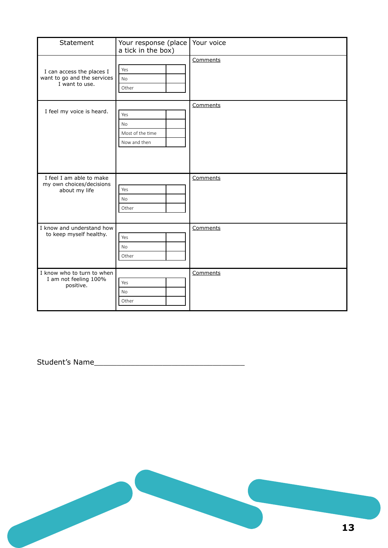| Statement                                                                  | Your response (place<br>a tick in the box)    | Your voice |
|----------------------------------------------------------------------------|-----------------------------------------------|------------|
| I can access the places I<br>want to go and the services<br>I want to use. | Yes<br><b>No</b><br>Other                     | Comments   |
| I feel my voice is heard.                                                  | Yes<br>No<br>Most of the time<br>Now and then | Comments   |
| I feel I am able to make<br>my own choices/decisions<br>about my life      | Yes<br><b>No</b><br>Other                     | Comments   |
| I know and understand how<br>to keep myself healthy.                       | Yes<br><b>No</b><br>Other                     | Comments   |
| I know who to turn to when<br>I am not feeling 100%<br>positive.           | Yes<br>No<br>Other                            | Comments   |

Student's Name\_\_\_\_\_\_\_\_\_\_\_\_\_\_\_\_\_\_\_\_\_\_\_\_\_\_\_\_\_\_\_\_\_